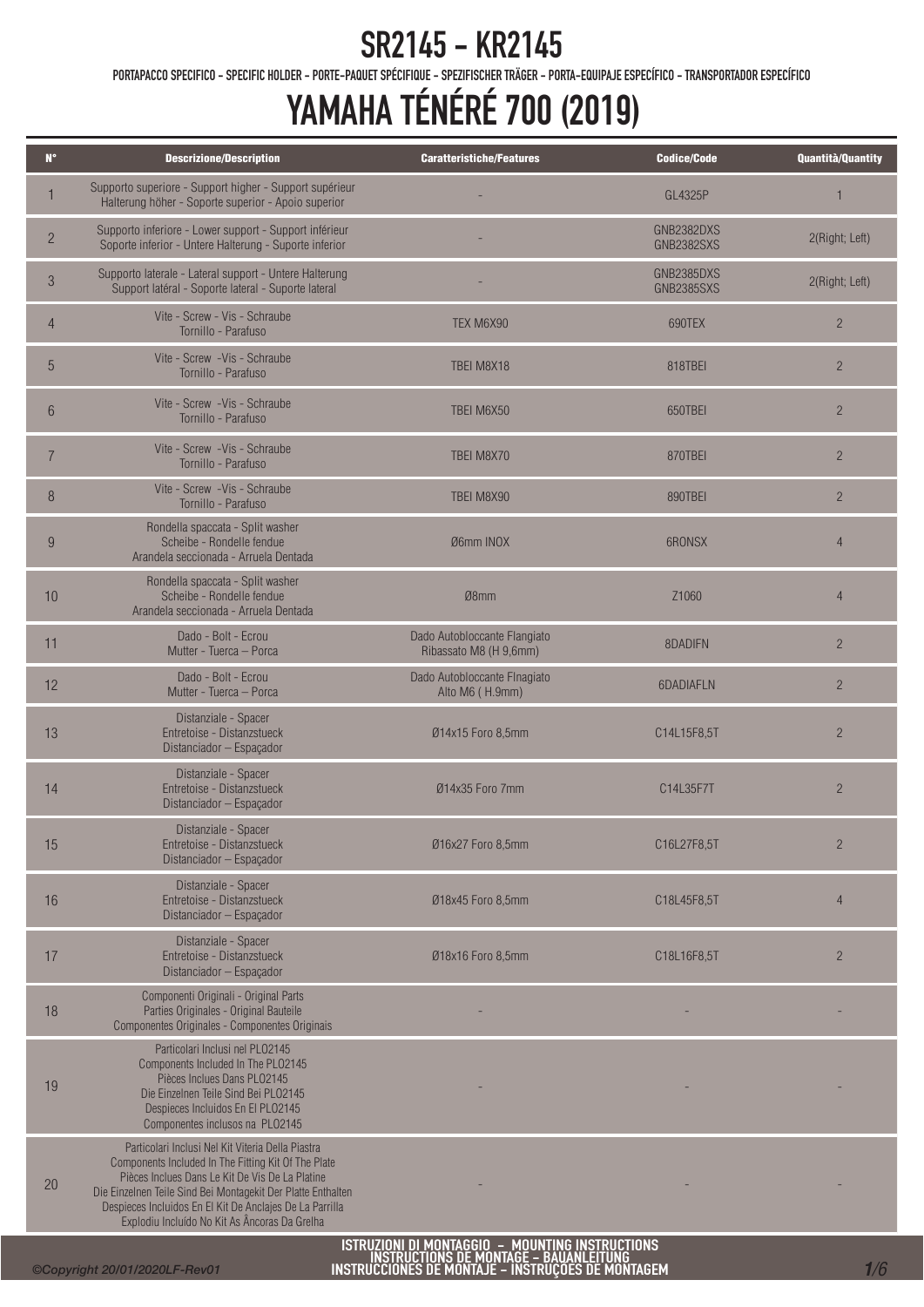PORTAPACCO SPECIFICO - SPECIFIC HOLDER - PORTE-PAQUET SPÉCIFIQUE - SPEZIFISCHER TRÄGER - PORTA-EQUIPAJE ESPECÍFICO - TRANSPORTADOR ESPECÍFICO

| $N^{\circ}$    | <b>Descrizione/Description</b>                                                                                                                                                                                                                                                                                                           | <b>Caratteristiche/Features</b>                        | <b>Codice/Code</b>              | Quantità/Quantity |
|----------------|------------------------------------------------------------------------------------------------------------------------------------------------------------------------------------------------------------------------------------------------------------------------------------------------------------------------------------------|--------------------------------------------------------|---------------------------------|-------------------|
| $\mathbf{1}$   | Supporto superiore - Support higher - Support supérieur<br>Halterung höher - Soporte superior - Apoio superior                                                                                                                                                                                                                           |                                                        | GI 4325P                        | 1                 |
| $\overline{2}$ | Supporto inferiore - Lower support - Support inférieur<br>Soporte inferior - Untere Halterung - Suporte inferior                                                                                                                                                                                                                         |                                                        | GNB2382DXS<br><b>GNB2382SXS</b> | 2(Right; Left)    |
| $\sqrt{3}$     | Supporto laterale - Lateral support - Untere Halterung<br>Support latéral - Soporte lateral - Suporte lateral                                                                                                                                                                                                                            |                                                        | GNB2385DXS<br><b>GNB2385SXS</b> | 2(Right; Left)    |
| $\overline{4}$ | Vite - Screw - Vis - Schraube<br>Tornillo - Parafuso                                                                                                                                                                                                                                                                                     | TEX M6X90                                              | 690TEX                          | $\overline{2}$    |
| 5              | Vite - Screw - Vis - Schraube<br>Tornillo - Parafuso                                                                                                                                                                                                                                                                                     | TBEI M8X18                                             | 818TBEI                         | $\overline{2}$    |
| 6              | Vite - Screw -Vis - Schraube<br>Tornillo - Parafuso                                                                                                                                                                                                                                                                                      | TBEI M6X50                                             | 650TBEI                         | $\overline{2}$    |
| $\overline{7}$ | Vite - Screw -Vis - Schraube<br>Tornillo - Parafuso                                                                                                                                                                                                                                                                                      | TBEI M8X70                                             | 870TBEI                         | $\overline{2}$    |
| $\, 8$         | Vite - Screw - Vis - Schraube<br>Tornillo - Parafuso                                                                                                                                                                                                                                                                                     | TBEI M8X90                                             | 890TBEI                         | $\overline{2}$    |
| 9              | Rondella spaccata - Split washer<br>Scheibe - Rondelle fendue<br>Arandela seccionada - Arruela Dentada                                                                                                                                                                                                                                   | Ø6mm INOX                                              | 6RONSX                          | $\overline{4}$    |
| 10             | Rondella spaccata - Split washer<br>Scheibe - Rondelle fendue<br>Arandela seccionada - Arruela Dentada                                                                                                                                                                                                                                   | Ø8mm                                                   | Z1060                           | $\overline{4}$    |
| 11             | Dado - Bolt - Ecrou<br>Mutter - Tuerca - Porca                                                                                                                                                                                                                                                                                           | Dado Autobloccante Flangiato<br>Ribassato M8 (H 9,6mm) | 8DADIFN                         | $\overline{2}$    |
| 12             | Dado - Bolt - Ecrou<br>Mutter - Tuerca - Porca                                                                                                                                                                                                                                                                                           | Dado Autobloccante Flnagiato<br>Alto M6 (H.9mm)        | 6DADIAFLN                       | $\overline{2}$    |
| 13             | Distanziale - Spacer<br>Entretoise - Distanzstueck<br>Distanciador - Espaçador                                                                                                                                                                                                                                                           | Ø14x15 Foro 8,5mm                                      | C14L15F8,5T                     | $\overline{2}$    |
| 14             | Distanziale - Spacer<br>Entretoise - Distanzstueck<br>Distanciador - Espaçador                                                                                                                                                                                                                                                           | Ø14x35 Foro 7mm                                        | C14L35F7T                       | $\overline{2}$    |
| 15             | Distanziale - Spacer<br>Entretoise - Distanzstueck<br>Distanciador - Espaçador                                                                                                                                                                                                                                                           | Ø16x27 Foro 8,5mm                                      | C16L27F8,5T                     | $\overline{2}$    |
| 16             | Distanziale - Spacer<br>Entretoise - Distanzstueck<br>Distanciador - Espaçador                                                                                                                                                                                                                                                           | Ø18x45 Foro 8,5mm                                      | C18L45F8,5T                     | $\overline{4}$    |
| 17             | Distanziale - Spacer<br>Entretoise - Distanzstueck<br>Distanciador - Espaçador                                                                                                                                                                                                                                                           | Ø18x16 Foro 8,5mm                                      | C18L16F8,5T                     | $\overline{2}$    |
| 18             | Componenti Originali - Original Parts<br>Parties Originales - Original Bauteile<br>Componentes Originales - Componentes Originais                                                                                                                                                                                                        |                                                        |                                 |                   |
| 19             | Particolari Inclusi nel PL02145<br>Components Included In The PL02145<br>Pièces Inclues Dans PL02145<br>Die Einzelnen Teile Sind Bei PL02145<br>Despieces Incluidos En El PL02145<br>Componentes inclusos na PL02145                                                                                                                     |                                                        |                                 |                   |
| 20             | Particolari Inclusi Nel Kit Viteria Della Piastra<br>Components Included In The Fitting Kit Of The Plate<br>Pièces Inclues Dans Le Kit De Vis De La Platine<br>Die Einzelnen Teile Sind Bei Montagekit Der Platte Enthalten<br>Despieces Incluidos En El Kit De Anclajes De La Parrilla<br>Explodiu Incluído No Kit As Âncoras Da Grelha | ISTRUZIONI DI MONTAGGIO - MOUNTING INSTRUCTIONS        |                                 |                   |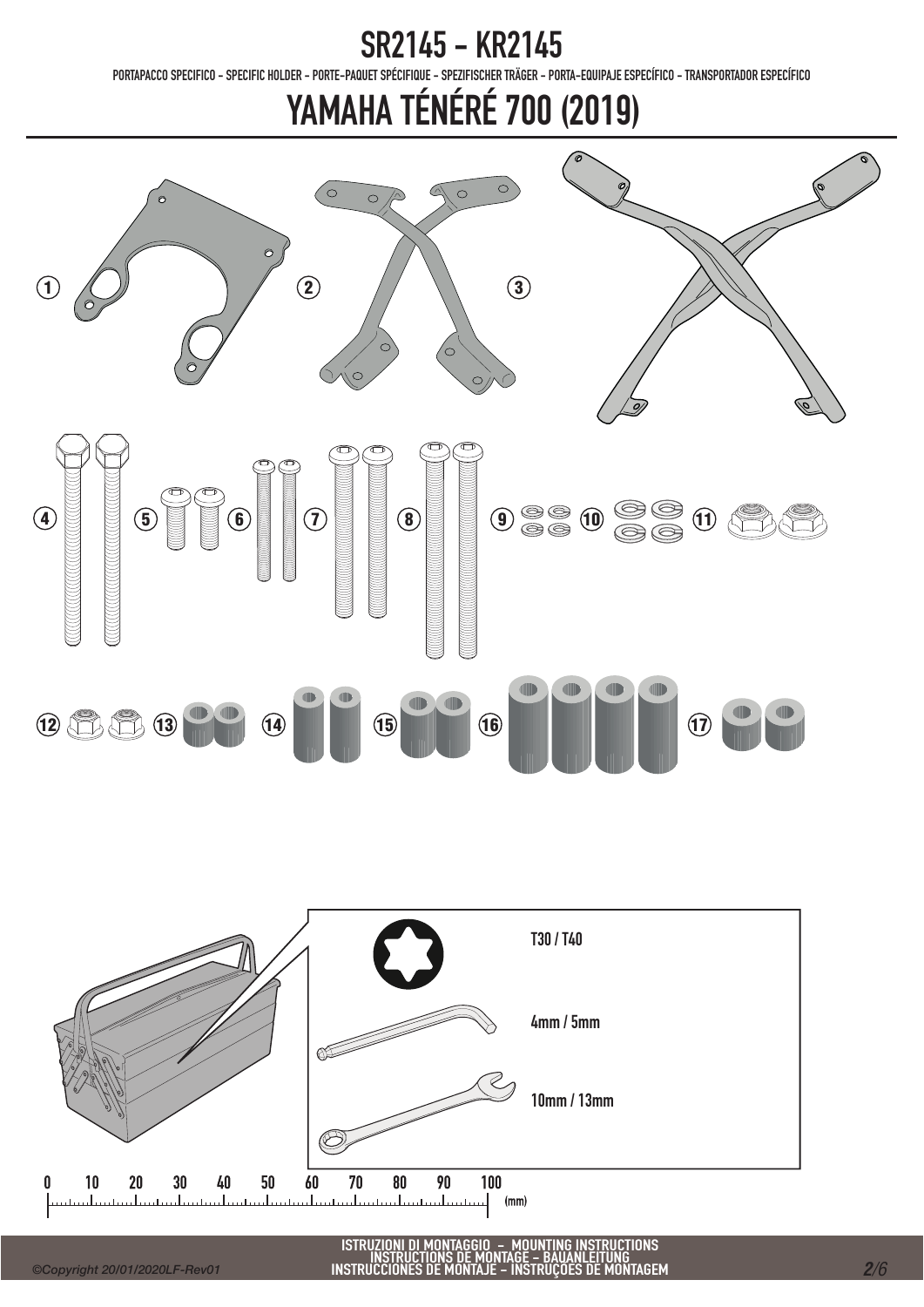PORTAPACCO SPECIFICO - SPECIFIC HOLDER - PORTE-PAQUET SPÉCIFIQUE - SPEZIFISCHER TRÄGER - PORTA-EQUIPAJE ESPECÍFICO - TRANSPORTADOR ESPECÍFICO



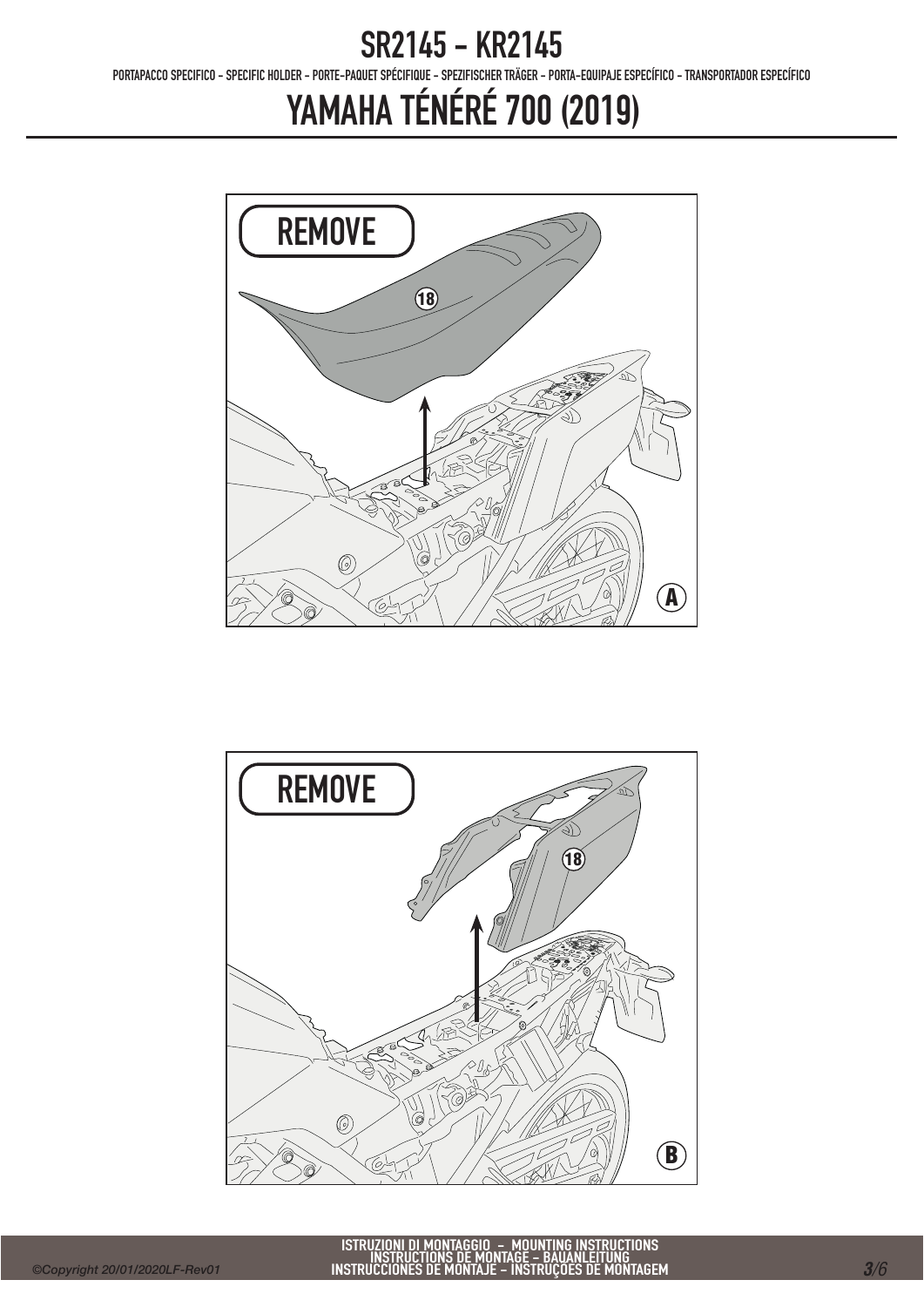PORTAPACCO SPECIFICO - SPECIFIC HOLDER - PORTE-PAQUET SPÉCIFIQUE - SPEZIFISCHER TRÄGER - PORTA-EQUIPAJE ESPECÍFICO - TRANSPORTADOR ESPECÍFICO



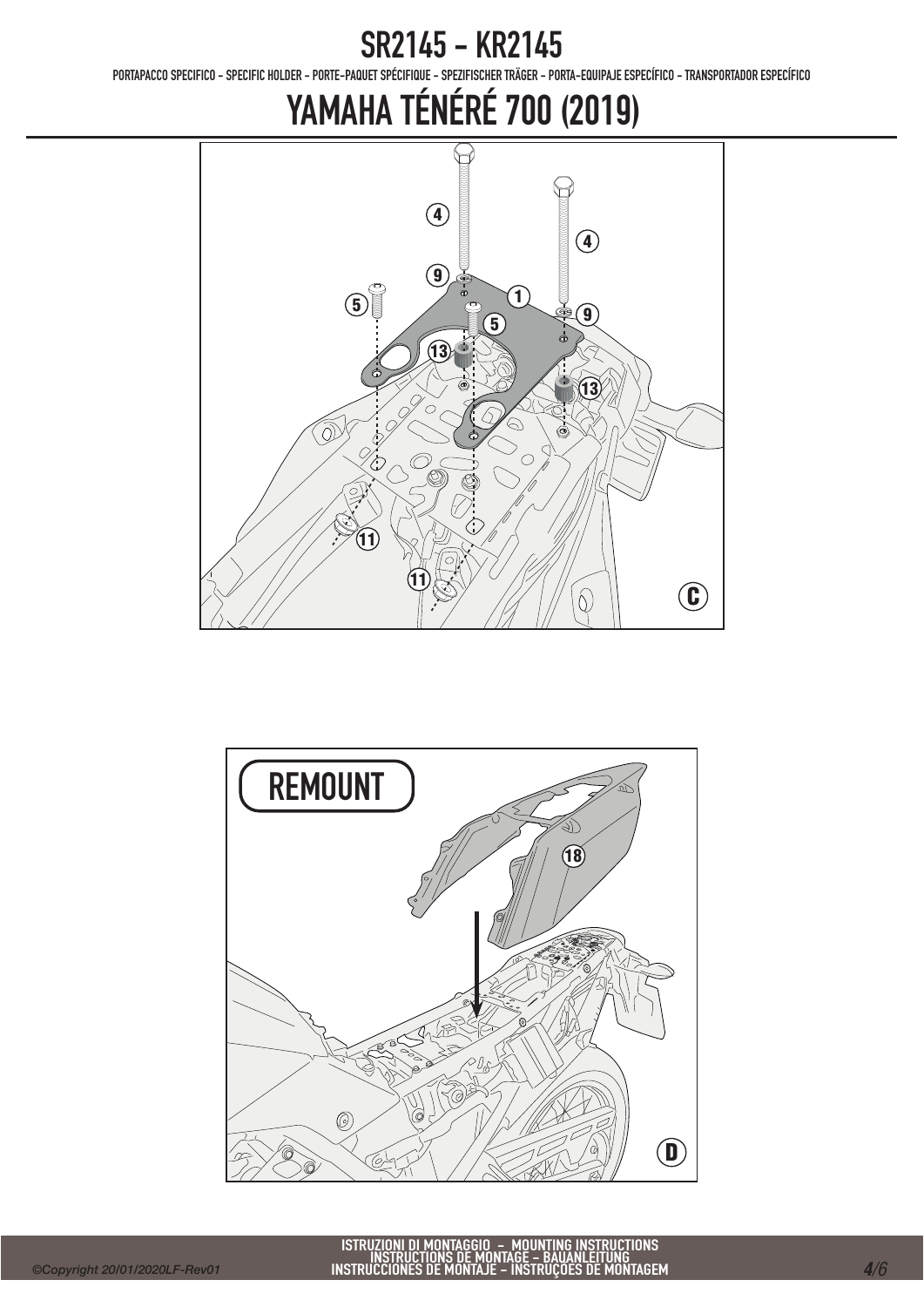PORTAPACCO SPECIFICO - SPECIFIC HOLDER - PORTE-PAQUET SPÉCIFIQUE - SPEZIFISCHER TRÄGER - PORTA-EQUIPAJE ESPECÍFICO - TRANSPORTADOR ESPECÍFICO



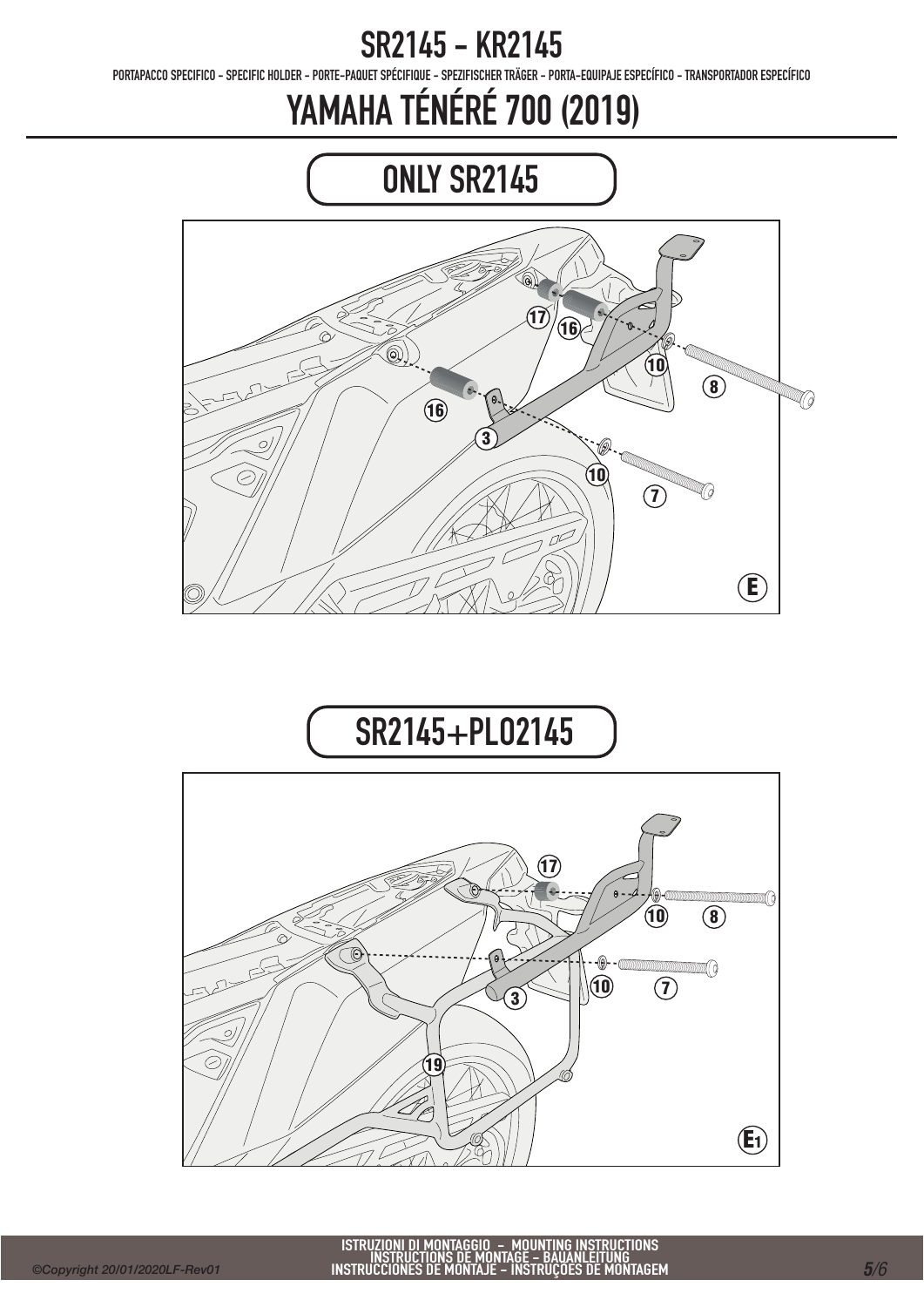PORTAPACCO SPECIFICO - SPECIFIC HOLDER - PORTE-PAQUET SPÉCIFIQUE - SPEZIFISCHER TRÄGER - PORTA-EQUIPAJE ESPECÍFICO - TRANSPORTADOR ESPECÍFICO

### YAMAHA TÉNÉRÉ 700 (2019)



### SR2145+PLO2145